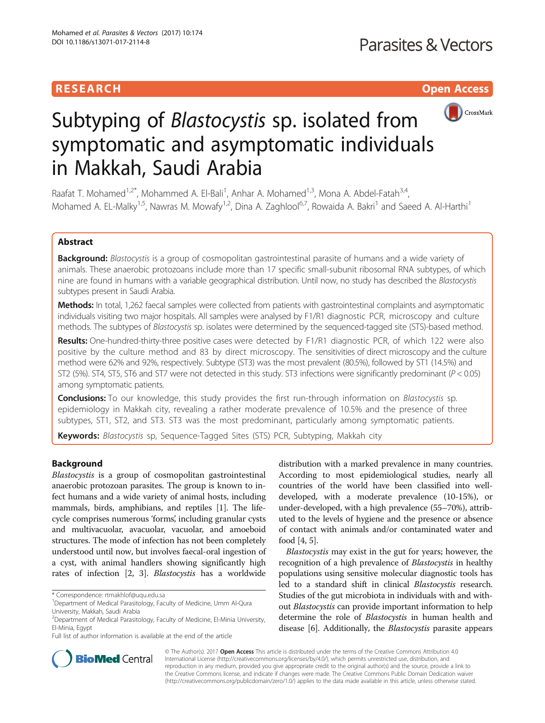# **RESEARCH CHILD CONTROL** CONTROL CONTROL CONTROL CONTROL CONTROL CONTROL CONTROL CONTROL CONTROL CONTROL CONTROL



# Subtyping of Blastocystis sp. isolated from symptomatic and asymptomatic individuals in Makkah, Saudi Arabia

Raafat T. Mohamed<sup>1,2\*</sup>, Mohammed A. El-Bali<sup>1</sup>, Anhar A. Mohamed<sup>1,3</sup>, Mona A. Abdel-Fatah<sup>3,4</sup>, Mohamed A. EL-Malky<sup>1,5</sup>, Nawras M. Mowafy<sup>1,2</sup>, Dina A. Zaghlool<sup>6,7</sup>, Rowaida A. Bakri<sup>1</sup> and Saeed A. Al-Harthi<sup>1</sup>

# Abstract

Background: Blastocystis is a group of cosmopolitan gastrointestinal parasite of humans and a wide variety of animals. These anaerobic protozoans include more than 17 specific small-subunit ribosomal RNA subtypes, of which nine are found in humans with a variable geographical distribution. Until now, no study has described the Blastocystis subtypes present in Saudi Arabia.

Methods: In total, 1,262 faecal samples were collected from patients with gastrointestinal complaints and asymptomatic individuals visiting two major hospitals. All samples were analysed by F1/R1 diagnostic PCR, microscopy and culture methods. The subtypes of Blastocystis sp. isolates were determined by the sequenced-tagged site (STS)-based method.

Results: One-hundred-thirty-three positive cases were detected by F1/R1 diagnostic PCR, of which 122 were also positive by the culture method and 83 by direct microscopy. The sensitivities of direct microscopy and the culture method were 62% and 92%, respectively. Subtype (ST3) was the most prevalent (80.5%), followed by ST1 (14.5%) and ST2 (5%). ST4, ST5, ST6 and ST7 were not detected in this study. ST3 infections were significantly predominant (P < 0.05) among symptomatic patients.

Conclusions: To our knowledge, this study provides the first run-through information on Blastocystis sp. epidemiology in Makkah city, revealing a rather moderate prevalence of 10.5% and the presence of three subtypes, ST1, ST2, and ST3. ST3 was the most predominant, particularly among symptomatic patients.

Keywords: Blastocystis sp, Sequence-Tagged Sites (STS) PCR, Subtyping, Makkah city

# Background

Blastocystis is a group of cosmopolitan gastrointestinal anaerobic protozoan parasites. The group is known to infect humans and a wide variety of animal hosts, including mammals, birds, amphibians, and reptiles [\[1](#page-4-0)]. The lifecycle comprises numerous 'forms', including granular cysts and multivacuolar, avacuolar, vacuolar, and amoeboid structures. The mode of infection has not been completely understood until now, but involves faecal-oral ingestion of a cyst, with animal handlers showing significantly high rates of infection [\[2](#page-4-0), [3](#page-4-0)]. Blastocystis has a worldwide

\* Correspondence: [rtmakhlof@uqu.edu.sa](mailto:rtmakhlof@uqu.edu.sa) <sup>1</sup>

Full list of author information is available at the end of the article

distribution with a marked prevalence in many countries. According to most epidemiological studies, nearly all countries of the world have been classified into welldeveloped, with a moderate prevalence (10-15%), or under-developed, with a high prevalence (55–70%), attributed to the levels of hygiene and the presence or absence of contact with animals and/or contaminated water and food [\[4](#page-5-0), [5\]](#page-5-0).

Blastocystis may exist in the gut for years; however, the recognition of a high prevalence of Blastocystis in healthy populations using sensitive molecular diagnostic tools has led to a standard shift in clinical Blastocystis research. Studies of the gut microbiota in individuals with and without Blastocystis can provide important information to help determine the role of Blastocystis in human health and disease [[6](#page-5-0)]. Additionally, the Blastocystis parasite appears



© The Author(s). 2017 **Open Access** This article is distributed under the terms of the Creative Commons Attribution 4.0 International License [\(http://creativecommons.org/licenses/by/4.0/](http://creativecommons.org/licenses/by/4.0/)), which permits unrestricted use, distribution, and reproduction in any medium, provided you give appropriate credit to the original author(s) and the source, provide a link to the Creative Commons license, and indicate if changes were made. The Creative Commons Public Domain Dedication waiver [\(http://creativecommons.org/publicdomain/zero/1.0/](http://creativecommons.org/publicdomain/zero/1.0/)) applies to the data made available in this article, unless otherwise stated.

<sup>&</sup>lt;sup>1</sup>Department of Medical Parasitology, Faculty of Medicine, Umm Al-Qura University, Makkah, Saudi Arabia

<sup>&</sup>lt;sup>2</sup>Department of Medical Parasitology, Faculty of Medicine, El-Minia University, El-Minia, Egypt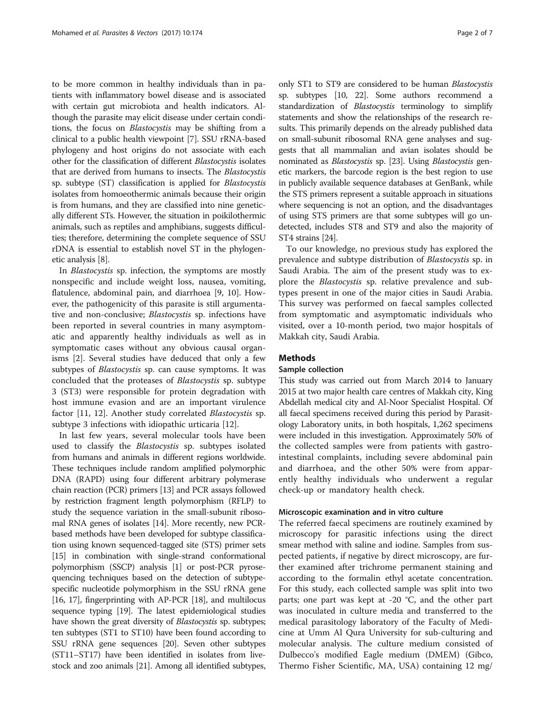to be more common in healthy individuals than in patients with inflammatory bowel disease and is associated with certain gut microbiota and health indicators. Although the parasite may elicit disease under certain conditions, the focus on Blastocystis may be shifting from a clinical to a public health viewpoint [\[7](#page-5-0)]. SSU rRNA-based phylogeny and host origins do not associate with each other for the classification of different Blastocystis isolates that are derived from humans to insects. The Blastocystis sp. subtype (ST) classification is applied for Blastocystis isolates from homoeothermic animals because their origin is from humans, and they are classified into nine genetically different STs. However, the situation in poikilothermic animals, such as reptiles and amphibians, suggests difficulties; therefore, determining the complete sequence of SSU rDNA is essential to establish novel ST in the phylogenetic analysis [[8\]](#page-5-0).

In Blastocystis sp. infection, the symptoms are mostly nonspecific and include weight loss, nausea, vomiting, flatulence, abdominal pain, and diarrhoea [\[9](#page-5-0), [10](#page-5-0)]. However, the pathogenicity of this parasite is still argumentative and non-conclusive; Blastocystis sp. infections have been reported in several countries in many asymptomatic and apparently healthy individuals as well as in symptomatic cases without any obvious causal organisms [[2\]](#page-4-0). Several studies have deduced that only a few subtypes of *Blastocystis* sp. can cause symptoms. It was concluded that the proteases of Blastocystis sp. subtype 3 (ST3) were responsible for protein degradation with host immune evasion and are an important virulence factor [\[11, 12\]](#page-5-0). Another study correlated Blastocystis sp. subtype 3 infections with idiopathic urticaria [\[12\]](#page-5-0).

In last few years, several molecular tools have been used to classify the Blastocystis sp. subtypes isolated from humans and animals in different regions worldwide. These techniques include random amplified polymorphic DNA (RAPD) using four different arbitrary polymerase chain reaction (PCR) primers [[13](#page-5-0)] and PCR assays followed by restriction fragment length polymorphism (RFLP) to study the sequence variation in the small-subunit ribosomal RNA genes of isolates [[14](#page-5-0)]. More recently, new PCRbased methods have been developed for subtype classification using known sequenced-tagged site (STS) primer sets [[15](#page-5-0)] in combination with single-strand conformational polymorphism (SSCP) analysis [\[1\]](#page-4-0) or post-PCR pyrosequencing techniques based on the detection of subtypespecific nucleotide polymorphism in the SSU rRNA gene [[16](#page-5-0), [17](#page-5-0)], fingerprinting with AP-PCR [\[18\]](#page-5-0), and multilocus sequence typing [[19](#page-5-0)]. The latest epidemiological studies have shown the great diversity of Blastocystis sp. subtypes; ten subtypes (ST1 to ST10) have been found according to SSU rRNA gene sequences [[20](#page-5-0)]. Seven other subtypes (ST11–ST17) have been identified in isolates from livestock and zoo animals [[21](#page-5-0)]. Among all identified subtypes,

only ST1 to ST9 are considered to be human Blastocystis sp. subtypes [\[10, 22\]](#page-5-0). Some authors recommend a standardization of Blastocystis terminology to simplify statements and show the relationships of the research results. This primarily depends on the already published data on small-subunit ribosomal RNA gene analyses and suggests that all mammalian and avian isolates should be nominated as *Blastocystis* sp. [\[23\]](#page-5-0). Using *Blastocystis* genetic markers, the barcode region is the best region to use in publicly available sequence databases at GenBank, while the STS primers represent a suitable approach in situations where sequencing is not an option, and the disadvantages of using STS primers are that some subtypes will go undetected, includes ST8 and ST9 and also the majority of ST4 strains [[24](#page-5-0)].

To our knowledge, no previous study has explored the prevalence and subtype distribution of Blastocystis sp. in Saudi Arabia. The aim of the present study was to explore the Blastocystis sp. relative prevalence and subtypes present in one of the major cities in Saudi Arabia. This survey was performed on faecal samples collected from symptomatic and asymptomatic individuals who visited, over a 10-month period, two major hospitals of Makkah city, Saudi Arabia.

# Methods

## Sample collection

This study was carried out from March 2014 to January 2015 at two major health care centres of Makkah city, King Abdellah medical city and Al-Noor Specialist Hospital. Of all faecal specimens received during this period by Parasitology Laboratory units, in both hospitals, 1,262 specimens were included in this investigation. Approximately 50% of the collected samples were from patients with gastrointestinal complaints, including severe abdominal pain and diarrhoea, and the other 50% were from apparently healthy individuals who underwent a regular check-up or mandatory health check.

#### Microscopic examination and in vitro culture

The referred faecal specimens are routinely examined by microscopy for parasitic infections using the direct smear method with saline and iodine. Samples from suspected patients, if negative by direct microscopy, are further examined after trichrome permanent staining and according to the formalin ethyl acetate concentration. For this study, each collected sample was split into two parts; one part was kept at -20 °C, and the other part was inoculated in culture media and transferred to the medical parasitology laboratory of the Faculty of Medicine at Umm Al Qura University for sub-culturing and molecular analysis. The culture medium consisted of Dulbecco's modified Eagle medium (DMEM) (Gibco, Thermo Fisher Scientific, MA, USA) containing 12 mg/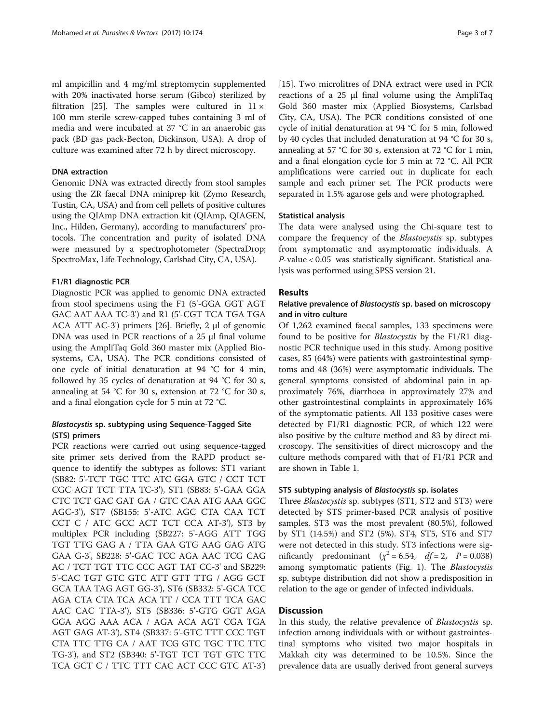ml ampicillin and 4 mg/ml streptomycin supplemented with 20% inactivated horse serum (Gibco) sterilized by filtration [[25](#page-5-0)]. The samples were cultured in  $11 \times$ 100 mm sterile screw-capped tubes containing 3 ml of media and were incubated at 37 °C in an anaerobic gas pack (BD gas pack-Becton, Dickinson, USA). A drop of culture was examined after 72 h by direct microscopy.

## DNA extraction

Genomic DNA was extracted directly from stool samples using the ZR faecal DNA miniprep kit (Zymo Research, Tustin, CA, USA) and from cell pellets of positive cultures using the QIAmp DNA extraction kit (QIAmp, QIAGEN, Inc., Hilden, Germany), according to manufacturers' protocols. The concentration and purity of isolated DNA were measured by a spectrophotometer (SpectraDrop; SpectroMax, Life Technology, Carlsbad City, CA, USA).

### F1/R1 diagnostic PCR

Diagnostic PCR was applied to genomic DNA extracted from stool specimens using the F1 (5'-GGA GGT AGT GAC AAT AAA TC-3') and R1 (5'-CGT TCA TGA TGA ACA ATT AC-3') primers [[26\]](#page-5-0). Briefly, 2 μl of genomic DNA was used in PCR reactions of a 25 μl final volume using the AmpliTaq Gold 360 master mix (Applied Biosystems, CA, USA). The PCR conditions consisted of one cycle of initial denaturation at 94 °C for 4 min, followed by 35 cycles of denaturation at 94 °C for 30 s, annealing at 54 °C for 30 s, extension at 72 °C for 30 s, and a final elongation cycle for 5 min at 72 °C.

# Blastocystis sp. subtyping using Sequence-Tagged Site (STS) primers

PCR reactions were carried out using sequence-tagged site primer sets derived from the RAPD product sequence to identify the subtypes as follows: ST1 variant (SB82: 5'-TCT TGC TTC ATC GGA GTC / CCT TCT CGC AGT TCT TTA TC-3'), ST1 (SB83: 5'-GAA GGA CTC TCT GAC GAT GA / GTC CAA ATG AAA GGC AGC-3'), ST7 (SB155: 5'-ATC AGC CTA CAA TCT CCT C / ATC GCC ACT TCT CCA AT-3'), ST3 by multiplex PCR including (SB227: 5'-AGG ATT TGG TGT TTG GAG A / TTA GAA GTG AAG GAG ATG GAA G-3', SB228: 5'-GAC TCC AGA AAC TCG CAG AC / TCT TGT TTC CCC AGT TAT CC-3' and SB229: 5'-CAC TGT GTC GTC ATT GTT TTG / AGG GCT GCA TAA TAG AGT GG-3'), ST6 (SB332: 5'-GCA TCC AGA CTA CTA TCA ACA TT / CCA TTT TCA GAC AAC CAC TTA-3'), ST5 (SB336: 5'-GTG GGT AGA GGA AGG AAA ACA / AGA ACA AGT CGA TGA AGT GAG AT-3'), ST4 (SB337: 5'-GTC TTT CCC TGT CTA TTC TTG CA / AAT TCG GTC TGC TTC TTC TG-3'), and ST2 (SB340: 5'-TGT TCT TGT GTC TTC TCA GCT C / TTC TTT CAC ACT CCC GTC AT-3')

[[15\]](#page-5-0). Two microlitres of DNA extract were used in PCR reactions of a 25 μl final volume using the AmpliTaq Gold 360 master mix (Applied Biosystems, Carlsbad City, CA, USA). The PCR conditions consisted of one cycle of initial denaturation at 94 °C for 5 min, followed by 40 cycles that included denaturation at 94 °C for 30 s, annealing at 57 °C for 30 s, extension at 72 °C for 1 min, and a final elongation cycle for 5 min at 72 °C. All PCR amplifications were carried out in duplicate for each sample and each primer set. The PCR products were separated in 1.5% agarose gels and were photographed.

#### Statistical analysis

The data were analysed using the Chi-square test to compare the frequency of the Blastocystis sp. subtypes from symptomatic and asymptomatic individuals. A P-value < 0.05 was statistically significant. Statistical analysis was performed using SPSS version 21.

## Results

# Relative prevalence of Blastocystis sp. based on microscopy and in vitro culture

Of 1,262 examined faecal samples, 133 specimens were found to be positive for *Blastocystis* by the F1/R1 diagnostic PCR technique used in this study. Among positive cases, 85 (64%) were patients with gastrointestinal symptoms and 48 (36%) were asymptomatic individuals. The general symptoms consisted of abdominal pain in approximately 76%, diarrhoea in approximately 27% and other gastrointestinal complaints in approximately 16% of the symptomatic patients. All 133 positive cases were detected by F1/R1 diagnostic PCR, of which 122 were also positive by the culture method and 83 by direct microscopy. The sensitivities of direct microscopy and the culture methods compared with that of F1/R1 PCR and are shown in Table [1](#page-3-0).

## STS subtyping analysis of Blastocystis sp. isolates

Three Blastocystis sp. subtypes (ST1, ST2 and ST3) were detected by STS primer-based PCR analysis of positive samples. ST3 was the most prevalent (80.5%), followed by ST1 (14.5%) and ST2 (5%). ST4, ST5, ST6 and ST7 were not detected in this study. ST3 infections were significantly predominant  $(\chi^2 = 6.54, df = 2, P = 0.038)$ among symptomatic patients (Fig. [1](#page-3-0)). The Blastocystis sp. subtype distribution did not show a predisposition in relation to the age or gender of infected individuals.

## **Discussion**

In this study, the relative prevalence of Blastocystis sp. infection among individuals with or without gastrointestinal symptoms who visited two major hospitals in Makkah city was determined to be 10.5%. Since the prevalence data are usually derived from general surveys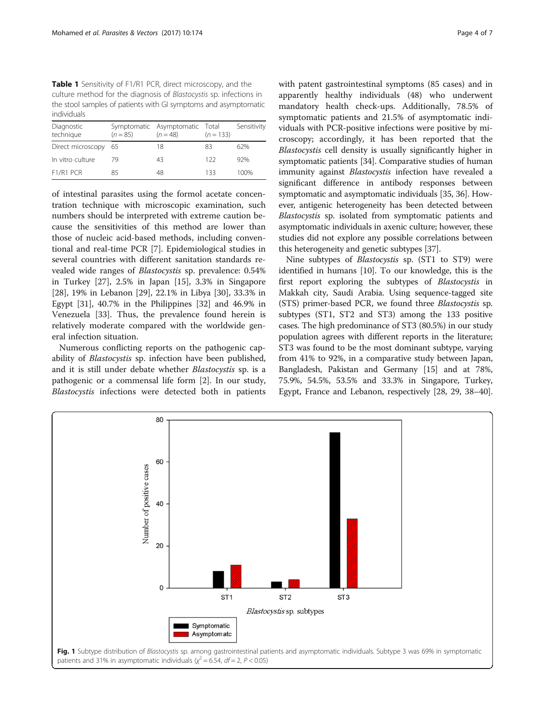<span id="page-3-0"></span>Table 1 Sensitivity of F1/R1 PCR, direct microscopy, and the culture method for the diagnosis of Blastocystis sp. infections in the stool samples of patients with GI symptoms and asymptomatic individuals

| $(n = 85)$           | $(n = 48)$ | $(n = 133)$ | Sensitivity                    |
|----------------------|------------|-------------|--------------------------------|
| Direct microscopy 65 | 18         | 83          | 62%                            |
| 79                   | 43         | 122         | 92%                            |
| 85                   | 48         | 133         | 100%                           |
|                      |            |             | Symptomatic Asymptomatic Total |

of intestinal parasites using the formol acetate concentration technique with microscopic examination, such numbers should be interpreted with extreme caution because the sensitivities of this method are lower than those of nucleic acid-based methods, including conventional and real-time PCR [\[7\]](#page-5-0). Epidemiological studies in several countries with different sanitation standards revealed wide ranges of Blastocystis sp. prevalence: 0.54% in Turkey [[27\]](#page-5-0), 2.5% in Japan [[15](#page-5-0)], 3.3% in Singapore [[28\]](#page-5-0), 19% in Lebanon [[29](#page-5-0)], 22.1% in Libya [\[30\]](#page-5-0), 33.3% in Egypt [\[31](#page-5-0)], 40.7% in the Philippines [\[32](#page-5-0)] and 46.9% in Venezuela [\[33\]](#page-5-0). Thus, the prevalence found herein is relatively moderate compared with the worldwide general infection situation.

Numerous conflicting reports on the pathogenic capability of Blastocystis sp. infection have been published, and it is still under debate whether Blastocystis sp. is a pathogenic or a commensal life form [\[2\]](#page-4-0). In our study, Blastocystis infections were detected both in patients with patent gastrointestinal symptoms (85 cases) and in apparently healthy individuals (48) who underwent mandatory health check-ups. Additionally, 78.5% of symptomatic patients and 21.5% of asymptomatic individuals with PCR-positive infections were positive by microscopy; accordingly, it has been reported that the Blastocystis cell density is usually significantly higher in symptomatic patients [[34](#page-5-0)]. Comparative studies of human immunity against *Blastocystis* infection have revealed a significant difference in antibody responses between symptomatic and asymptomatic individuals [[35, 36\]](#page-5-0). However, antigenic heterogeneity has been detected between Blastocystis sp. isolated from symptomatic patients and asymptomatic individuals in axenic culture; however, these studies did not explore any possible correlations between this heterogeneity and genetic subtypes [\[37\]](#page-5-0).

Nine subtypes of Blastocystis sp. (ST1 to ST9) were identified in humans [[10](#page-5-0)]. To our knowledge, this is the first report exploring the subtypes of Blastocystis in Makkah city, Saudi Arabia. Using sequence-tagged site (STS) primer-based PCR, we found three Blastocystis sp. subtypes (ST1, ST2 and ST3) among the 133 positive cases. The high predominance of ST3 (80.5%) in our study population agrees with different reports in the literature; ST3 was found to be the most dominant subtype, varying from 41% to 92%, in a comparative study between Japan, Bangladesh, Pakistan and Germany [\[15\]](#page-5-0) and at 78%, 75.9%, 54.5%, 53.5% and 33.3% in Singapore, Turkey, Egypt, France and Lebanon, respectively [\[28, 29](#page-5-0), [38](#page-5-0)–[40](#page-5-0)].

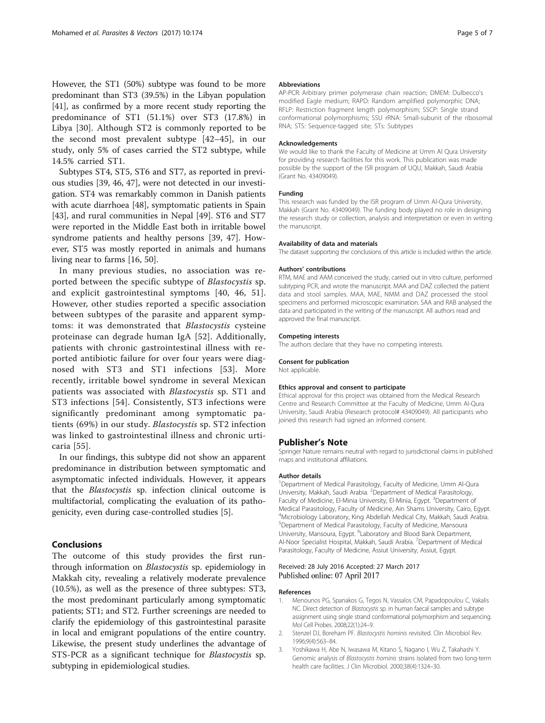<span id="page-4-0"></span>However, the ST1 (50%) subtype was found to be more predominant than ST3 (39.5%) in the Libyan population [[41](#page-5-0)], as confirmed by a more recent study reporting the predominance of ST1 (51.1%) over ST3 (17.8%) in Libya [\[30](#page-5-0)]. Although ST2 is commonly reported to be the second most prevalent subtype [\[42](#page-5-0)–[45](#page-5-0)], in our study, only 5% of cases carried the ST2 subtype, while 14.5% carried ST1.

Subtypes ST4, ST5, ST6 and ST7, as reported in previous studies [\[39](#page-5-0), [46, 47\]](#page-5-0), were not detected in our investigation. ST4 was remarkably common in Danish patients with acute diarrhoea [[48](#page-5-0)], symptomatic patients in Spain [[43\]](#page-5-0), and rural communities in Nepal [[49](#page-5-0)]. ST6 and ST7 were reported in the Middle East both in irritable bowel syndrome patients and healthy persons [\[39, 47](#page-5-0)]. However, ST5 was mostly reported in animals and humans living near to farms [[16, 50\]](#page-5-0).

In many previous studies, no association was reported between the specific subtype of Blastocystis sp. and explicit gastrointestinal symptoms [\[40, 46, 51](#page-5-0)]. However, other studies reported a specific association between subtypes of the parasite and apparent symptoms: it was demonstrated that Blastocystis cysteine proteinase can degrade human IgA [\[52\]](#page-5-0). Additionally, patients with chronic gastrointestinal illness with reported antibiotic failure for over four years were diagnosed with ST3 and ST1 infections [[53\]](#page-5-0). More recently, irritable bowel syndrome in several Mexican patients was associated with Blastocystis sp. ST1 and ST3 infections [[54](#page-6-0)]. Consistently, ST3 infections were significantly predominant among symptomatic patients (69%) in our study. Blastocystis sp. ST2 infection was linked to gastrointestinal illness and chronic urticaria [\[55\]](#page-6-0).

In our findings, this subtype did not show an apparent predominance in distribution between symptomatic and asymptomatic infected individuals. However, it appears that the Blastocystis sp. infection clinical outcome is multifactorial, complicating the evaluation of its pathogenicity, even during case-controlled studies [[5](#page-5-0)].

## Conclusions

The outcome of this study provides the first runthrough information on Blastocystis sp. epidemiology in Makkah city, revealing a relatively moderate prevalence (10.5%), as well as the presence of three subtypes: ST3, the most predominant particularly among symptomatic patients; ST1; and ST2. Further screenings are needed to clarify the epidemiology of this gastrointestinal parasite in local and emigrant populations of the entire country. Likewise, the present study underlines the advantage of STS-PCR as a significant technique for Blastocystis sp. subtyping in epidemiological studies.

#### Abbreviations

AP-PCR: Arbitrary primer polymerase chain reaction; DMEM: Dulbecco's modified Eagle medium; RAPD: Random amplified polymorphic DNA; RFLP: Restriction fragment length polymorphism; SSCP: Single strand conformational polymorphisms; SSU rRNA: Small-subunit of the ribosomal RNA; STS: Sequence-tagged site; STs: Subtypes

#### Acknowledgements

We would like to thank the Faculty of Medicine at Umm Al Qura University for providing research facilities for this work. This publication was made possible by the support of the ISR program of UQU, Makkah, Saudi Arabia (Grant No. 43409049).

#### Funding

This research was funded by the ISR program of Umm Al-Qura University, Makkah (Grant No. 43409049). The funding body played no role in designing the research study or collection, analysis and interpretation or even in writing the manuscript.

#### Availability of data and materials

The dataset supporting the conclusions of this article is included within the article.

#### Authors' contributions

RTM, MAE and AAM conceived the study, carried out in vitro culture, performed subtyping PCR, and wrote the manuscript. MAA and DAZ collected the patient data and stool samples. MAA, MAE, NMM and DAZ processed the stool specimens and performed microscopic examination. SAA and RAB analysed the data and participated in the writing of the manuscript. All authors read and approved the final manuscript.

#### Competing interests

The authors declare that they have no competing interests.

#### Consent for publication

Not applicable.

#### Ethics approval and consent to participate

Ethical approval for this project was obtained from the Medical Research Centre and Research Committee at the Faculty of Medicine, Umm Al-Qura University, Saudi Arabia (Research protocol# 43409049). All participants who joined this research had signed an informed consent.

#### Publisher's Note

Springer Nature remains neutral with regard to jurisdictional claims in published maps and institutional affiliations.

#### Author details

<sup>1</sup>Department of Medical Parasitology, Faculty of Medicine, Umm Al-Qura University, Makkah, Saudi Arabia. <sup>2</sup> Department of Medical Parasitology, Faculty of Medicine, El-Minia University, El-Minia, Egypt. <sup>3</sup>Department of Medical Parasitology, Faculty of Medicine, Ain Shams University, Cairo, Egypt. 4 Microbiology Laboratory, King Abdellah Medical City, Makkah, Saudi Arabia. 5 Department of Medical Parasitology, Faculty of Medicine, Mansoura University, Mansoura, Egypt. <sup>6</sup>Laboratory and Blood Bank Department, Al-Noor Specialist Hospital, Makkah, Saudi Arabia. <sup>7</sup>Department of Medical Parasitology, Faculty of Medicine, Assiut University, Assiut, Egypt.

#### Received: 28 July 2016 Accepted: 27 March 2017 Published online: 07 April 2017

#### References

- 1. Menounos PG, Spanakos G, Tegos N, Vassalos CM, Papadopoulou C, Vakalis NC. Direct detection of Blastocystis sp. in human faecal samples and subtype assignment using single strand conformational polymorphism and sequencing. Mol Cell Probes. 2008;22(1):24–9.
- 2. Stenzel DJ, Boreham PF. Blastocystis hominis revisited. Clin Microbiol Rev. 1996;9(4):563–84.
- 3. Yoshikawa H, Abe N, Iwasawa M, Kitano S, Nagano I, Wu Z, Takahashi Y. Genomic analysis of Blastocystis hominis strains isolated from two long-term health care facilities. J Clin Microbiol. 2000;38(4):1324–30.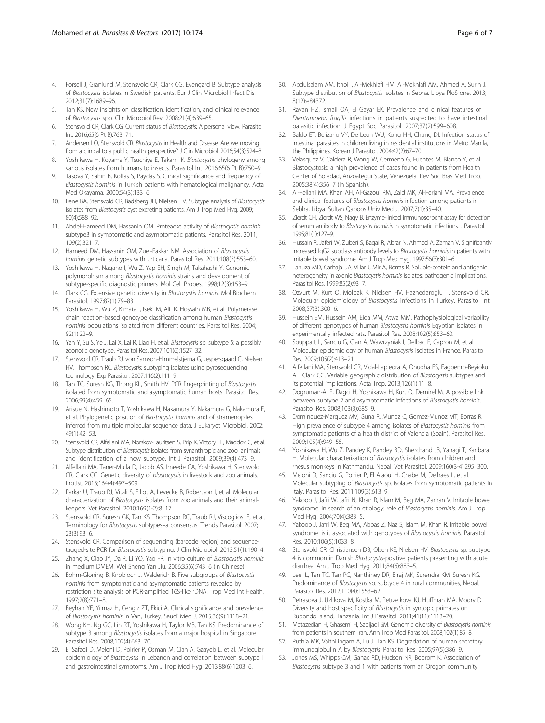- <span id="page-5-0"></span>4. Forsell J, Granlund M, Stensvold CR, Clark CG, Evengard B. Subtype analysis of Blastocystis isolates in Swedish patients. Eur J Clin Microbiol Infect Dis. 2012;31(7):1689–96.
- Tan KS. New insights on classification, identification, and clinical relevance of Blastocystis spp. Clin Microbiol Rev. 2008;21(4):639–65.
- 6. Stensvold CR, Clark CG. Current status of Blastocystis: A personal view. Parasitol Int. 2016;65(6 Pt B):763–71.
- 7. Andersen LO, Stensvold CR. Blastocystis in Health and Disease. Are we moving from a clinical to a public health perspective? J Clin Microbiol. 2016;54(3):524–8.
- 8. Yoshikawa H, Koyama Y, Tsuchiya E, Takami K. Blastocystis phylogeny among various isolates from humans to insects. Parasitol Int. 2016;65(6 Pt B):750–9.
- 9. Tasova Y, Sahin B, Koltas S, Paydas S. Clinical significance and frequency of Blastocystis hominis in Turkish patients with hematological malignancy. Acta Med Okayama. 2000;54(3):133–6.
- 10. Rene BA, Stensvold CR, Badsberg JH, Nielsen HV. Subtype analysis of Blastocystis isolates from Blastocystis cyst excreting patients. Am J Trop Med Hyg. 2009; 80(4):588–92.
- 11. Abdel-Hameed DM, Hassanin OM. Proteaese activity of Blastocystis hominis subtype3 in symptomatic and asymptomatic patients. Parasitol Res. 2011; 109(2):321–7.
- 12. Hameed DM, Hassanin OM, Zuel-Fakkar NM, Association of Blastocystis hominis genetic subtypes with urticaria. Parasitol Res. 2011;108(3):553–60.
- 13. Yoshikawa H, Nagano I, Wu Z, Yap EH, Singh M, Takahashi Y. Genomic polymorphism among Blastocystis hominis strains and development of subtype-specific diagnostic primers. Mol Cell Probes. 1998;12(3):153–9.
- 14. Clark CG. Extensive genetic diversity in Blastocystis hominis. Mol Biochem Parasitol. 1997;87(1):79–83.
- 15. Yoshikawa H, Wu Z, Kimata I, Iseki M, Ali IK, Hossain MB, et al. Polymerase chain reaction-based genotype classification among human Blastocystis hominis populations isolated from different countries. Parasitol Res. 2004; 92(1):22–9.
- 16. Yan Y, Su S, Ye J, Lai X, Lai R, Liao H, et al. Blastocystis sp. subtype 5: a possibly zoonotic genotype. Parasitol Res. 2007;101(6):1527–32.
- 17. Stensvold CR, Traub RJ, von Samson-Himmelstjerna G, Jespersgaard C, Nielsen HV, Thompson RC. Blastocystis: subtyping isolates using pyrosequencing technology. Exp Parasitol. 2007;116(2):111–9.
- 18. Tan TC, Suresh KG, Thong KL, Smith HV. PCR fingerprinting of Blastocystis isolated from symptomatic and asymptomatic human hosts. Parasitol Res. 2006;99(4):459–65.
- 19. Arisue N, Hashimoto T, Yoshikawa H, Nakamura Y, Nakamura G, Nakamura F, et al. Phylogenetic position of Blastocystis hominis and of stramenopiles inferred from multiple molecular sequence data. J Eukaryot Microbiol. 2002; 49(1):42–53.
- 20. Stensvold CR, Alfellani MA, Norskov-Lauritsen S, Prip K, Victory EL, Maddox C, et al. Subtype distribution of Blastocystis isolates from synanthropic and zoo animals and identification of a new subtype. Int J Parasitol. 2009;39(4):473–9.
- 21. Alfellani MA, Taner-Mulla D, Jacob AS, Imeede CA, Yoshikawa H, Stensvold CR, Clark CG. Genetic diversity of blastocystis in livestock and zoo animals. Protist. 2013;164(4):497–509.
- 22. Parkar U, Traub RJ, Vitali S, Elliot A, Levecke B, Robertson I, et al. Molecular characterization of Blastocystis isolates from zoo animals and their animalkeepers. Vet Parasitol. 2010;169(1-2):8–17.
- 23. Stensvold CR, Suresh GK, Tan KS, Thompson RC, Traub RJ, Viscogliosi E, et al. Terminology for Blastocystis subtypes–a consensus. Trends Parasitol. 2007; 23(3):93–6.
- 24. Stensvold CR. Comparison of sequencing (barcode region) and sequencetagged-site PCR for Blastocystis subtyping. J Clin Microbiol. 2013;51(1):190–4.
- 25. Zhang X, Qiao JY, Da R, Li YQ, Yao FR. In vitro culture of Blastocystis hominis in medium DMEM. Wei Sheng Yan Jiu. 2006;35(6):743–6 (In Chinese).
- 26. Bohm-Gloning B, Knobloch J, Walderich B. Five subgroups of Blastocystis hominis from symptomatic and asymptomatic patients revealed by restriction site analysis of PCR-amplified 16S-like rDNA. Trop Med Int Health. 1997;2(8):771–8.
- 27. Beyhan YE, Yilmaz H, Cengiz ZT, Ekici A. Clinical significance and prevalence of Blastocystis hominis in Van, Turkey. Saudi Med J. 2015;36(9):1118–21.
- 28. Wong KH, Ng GC, Lin RT, Yoshikawa H, Taylor MB, Tan KS. Predominance of subtype 3 among Blastocystis isolates from a major hospital in Singapore. Parasitol Res. 2008;102(4):663–70.
- 29. El Safadi D, Meloni D, Poirier P, Osman M, Cian A, Gaayeb L, et al. Molecular epidemiology of Blastocystis in Lebanon and correlation between subtype 1 and gastrointestinal symptoms. Am J Trop Med Hyg. 2013;88(6):1203–6.
- 30. Abdulsalam AM, Ithoi I, Al-Mekhlafi HM, Al-Mekhlafi AM, Ahmed A, Surin J. Subtype distribution of Blastocystis isolates in Sebha. Libya PloS one. 2013; 8(12):e84372.
- 31. Rayan HZ, Ismail OA, El Gayar EK. Prevalence and clinical features of Dientamoeba fragilis infections in patients suspected to have intestinal parasitic infection. J Egypt Soc Parasitol. 2007;37(2):599–608.
- Baldo ET, Belizario W, De Leon WU, Kong HH, Chung DI. Infection status of intestinal parasites in children living in residential institutions in Metro Manila, the Philippines. Korean J Parasitol. 2004;42(2):67–70.
- 33. Velasquez V, Caldera R, Wong W, Cermeno G, Fuentes M, Blanco Y, et al. Blastocystosis: a high prevalence of cases found in patients from Health Center of Soledad, Anzoategui State, Venezuela. Rev Soc Bras Med Trop. 2005;38(4):356–7 (In Spanish).
- 34. Al-Fellani MA, Khan AH, Al-Gazoui RM, Zaid MK, Al-Ferjani MA. Prevalence and clinical features of Blastocystis hominis infection among patients in Sebha, Libya. Sultan Qaboos Univ Med J. 2007;7(1):35–40.
- 35. Zierdt CH, Zierdt WS, Nagy B. Enzyme-linked immunosorbent assay for detection of serum antibody to Blastocystis hominis in symptomatic infections. J Parasitol. 1995;81(1):127–9.
- 36. Hussain R, Jaferi W, Zuberi S, Baqai R, Abrar N, Ahmed A, Zaman V. Significantly increased IgG2 subclass antibody levels to Blastocystis hominis in patients with irritable bowel syndrome. Am J Trop Med Hyg. 1997;56(3):301–6.
- 37. Lanuza MD, Carbajal JA, Villar J, Mir A, Borras R. Soluble-protein and antigenic heterogeneity in axenic Blastocystis hominis isolates: pathogenic implications. Parasitol Res. 1999;85(2):93–7.
- 38. Ozyurt M, Kurt O, Molbak K, Nielsen HV, Haznedaroglu T, Stensvold CR. Molecular epidemiology of Blastocystis infections in Turkey. Parasitol Int. 2008;57(3):300–6.
- 39. Hussein EM, Hussein AM, Eida MM, Atwa MM. Pathophysiological variability of different genotypes of human Blastocystis hominis Egyptian isolates in experimentally infected rats. Parasitol Res. 2008;102(5):853–60.
- 40. Souppart L, Sanciu G, Cian A, Wawrzyniak I, Delbac F, Capron M, et al. Molecular epidemiology of human Blastocystis isolates in France. Parasitol Res. 2009;105(2):413–21.
- 41. Alfellani MA, Stensvold CR, Vidal-Lapiedra A, Onuoha ES, Fagbenro-Beyioku AF, Clark CG. Variable geographic distribution of Blastocystis subtypes and its potential implications. Acta Trop. 2013;126(1):11–8.
- 42. Dogruman-Al F, Dagci H, Yoshikawa H, Kurt O, Demirel M. A possible link between subtype 2 and asymptomatic infections of Blastocystis hominis. Parasitol Res. 2008;103(3):685–9.
- 43. Dominguez-Marquez MV, Guna R, Munoz C, Gomez-Munoz MT, Borras R. High prevalence of subtype 4 among isolates of Blastocystis hominis from symptomatic patients of a health district of Valencia (Spain). Parasitol Res. 2009;105(4):949–55.
- Yoshikawa H, Wu Z, Pandey K, Pandey BD, Sherchand JB, Yanagi T, Kanbara H. Molecular characterization of Blastocystis isolates from children and rhesus monkeys in Kathmandu, Nepal. Vet Parasitol. 2009;160(3-4):295–300.
- 45. Meloni D, Sanciu G, Poirier P, El Alaoui H, Chabe M, Delhaes L, et al. Molecular subtyping of Blastocystis sp. isolates from symptomatic patients in Italy. Parasitol Res. 2011;109(3):613–9.
- 46. Yakoob J, Jafri W, Jafri N, Khan R, Islam M, Beg MA, Zaman V. Irritable bowel syndrome: in search of an etiology: role of Blastocystis hominis. Am J Trop Med Hyg. 2004;70(4):383–5.
- 47. Yakoob J, Jafri W, Beg MA, Abbas Z, Naz S, Islam M, Khan R. Irritable bowel syndrome: is it associated with genotypes of Blastocystis hominis. Parasitol Res. 2010;106(5):1033–8.
- 48. Stensvold CR, Christiansen DB, Olsen KE, Nielsen HV. Blastocystis sp. subtype 4 is common in Danish Blastocystis-positive patients presenting with acute diarrhea. Am J Trop Med Hyg. 2011;84(6):883–5.
- 49. Lee IL, Tan TC, Tan PC, Nanthiney DR, Biraj MK, Surendra KM, Suresh KG. Predominance of Blastocystis sp. subtype 4 in rural communities, Nepal. Parasitol Res. 2012;110(4):1553–62.
- 50. Petrasova J, Uzlikova M, Kostka M, Petrzelkova KJ, Huffman MA, Modry D. Diversity and host specificity of Blastocystis in syntopic primates on Rubondo Island, Tanzania. Int J Parasitol. 2011;41(11):1113–20.
- 51. Motazedian H, Ghasemi H, Sadjjadi SM. Genomic diversity of Blastocystis hominis from patients in southern Iran. Ann Trop Med Parasitol. 2008;102(1):85–8.
- 52. Puthia MK, Vaithilingam A, Lu J, Tan KS. Degradation of human secretory immunoglobulin A by Blastocystis. Parasitol Res. 2005;97(5):386–9.
- 53. Jones MS, Whipps CM, Ganac RD, Hudson NR, Boorom K. Association of Blastocystis subtype 3 and 1 with patients from an Oregon community